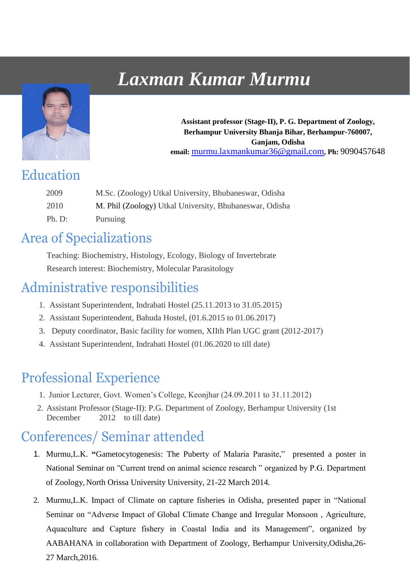# *Laxman Kumar Murmu*



**Assistant professor (Stage-II), P. G. Department of Zoology, Berhampur University Bhanja Bihar, Berhampur-760007, Ganjam, Odisha email:** murmu.laxmankumar36@gmail.com**, Ph:** 9090457648

#### Education

| 2009   | M.Sc. (Zoology) Utkal University, Bhubaneswar, Odisha   |
|--------|---------------------------------------------------------|
| 2010   | M. Phil (Zoology) Utkal University, Bhubaneswar, Odisha |
| Ph. D: | <b>Pursuing</b>                                         |

#### Area of Specializations

Teaching: Biochemistry, Histology, Ecology, Biology of Invertebrate Research interest: Biochemistry, Molecular Parasitology

# Administrative responsibilities

- 1. Assistant Superintendent, Indrabati Hostel (25.11.2013 to 31.05.2015)
- 2. Assistant Superintendent, Bahuda Hostel, (01.6.2015 to 01.06.2017)
- 3. Deputy coordinator, Basic facility for women, XIIth Plan UGC grant (2012-2017)
- 4. Assistant Superintendent, Indrabati Hostel (01.06.2020 to till date)

# Professional Experience

- 1. Junior Lecturer, Govt. Women's College, Keonjhar (24.09.2011 to 31.11.2012)
- 2. Assistant Professor (Stage-II): P.G. Department of Zoology, Berhampur University (1st December 2012 to till date)

# Conferences/ Seminar attended

- 1. Murmu,L.K. **"**Gametocytogenesis: The Puberty of Malaria Parasite," presented a poster in National Seminar on "Current trend on animal science research " organized by P.G. Department of Zoology, North Orissa University University, 21-22 March 2014.
- 2. Murmu,L.K. Impact of Climate on capture fisheries in Odisha, presented paper in "National Seminar on "Adverse Impact of Global Climate Change and Irregular Monsoon , Agriculture, Aquaculture and Capture fishery in Coastal India and its Management", organized by AABAHANA in collaboration with Department of Zoology, Berhampur University,Odisha,26- 27 March,2016.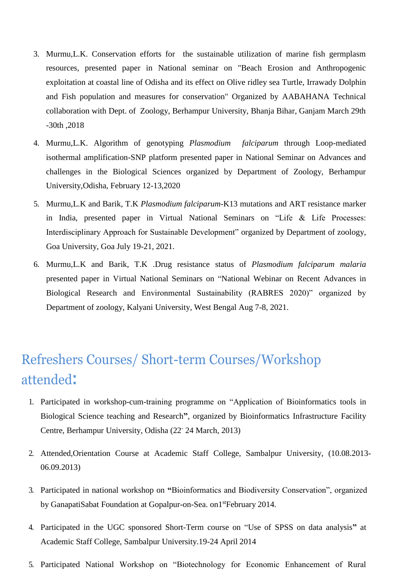- 3. Murmu,L.K. Conservation efforts for the sustainable utilization of marine fish germplasm resources, presented paper in National seminar on "Beach Erosion and Anthropogenic exploitation at coastal line of Odisha and its effect on Olive ridley sea Turtle, Irrawady Dolphin and Fish population and measures for conservation" Organized by AABAHANA Technical collaboration with Dept. of Zoology, Berhampur University, Bhanja Bihar, Ganjam March 29th -30th ,2018
- 4. Murmu,L.K. Algorithm of genotyping *Plasmodium falciparum* through Loop-mediated isothermal amplification-SNP platform presented paper in National Seminar on Advances and challenges in the Biological Sciences organized by Department of Zoology, Berhampur University,Odisha, February 12-13,2020
- 5. Murmu,L.K and Barik, T.K *Plasmodium falciparum*-K13 mutations and ART resistance marker in India, presented paper in Virtual National Seminars on "Life & Life Processes: Interdisciplinary Approach for Sustainable Development" organized by Department of zoology, Goa University, Goa July 19-21, 2021.
- 6. Murmu,L.K and Barik, T.K .Drug resistance status of *Plasmodium falciparum malaria* presented paper in Virtual National Seminars on "National Webinar on Recent Advances in Biological Research and Environmental Sustainability (RABRES 2020)" organized by Department of zoology, Kalyani University, West Bengal Aug 7-8, 2021.

# Refreshers Courses/ Short-term Courses/Workshop attended**:**

- 1. Participated in workshop-cum-training programme on "Application of Bioinformatics tools in Biological Science teaching and Research**"**, organized by Bioinformatics Infrastructure Facility Centre, Berhampur University, Odisha (22- 24 March, 2013)
- 2. Attended,Orientation Course at Academic Staff College, Sambalpur University, (10.08.2013- 06.09.2013)
- 3. Participated in national workshop on **"**Bioinformatics and Biodiversity Conservation", organized by GanapatiSabat Foundation at Gopalpur-on-Sea. on1<sup>st</sup>February 2014.
- 4. Participated in the UGC sponsored Short-Term course on "Use of SPSS on data analysis**"** at Academic Staff College, Sambalpur University.19-24 April 2014
- 5. Participated National Workshop on "Biotechnology for Economic Enhancement of Rural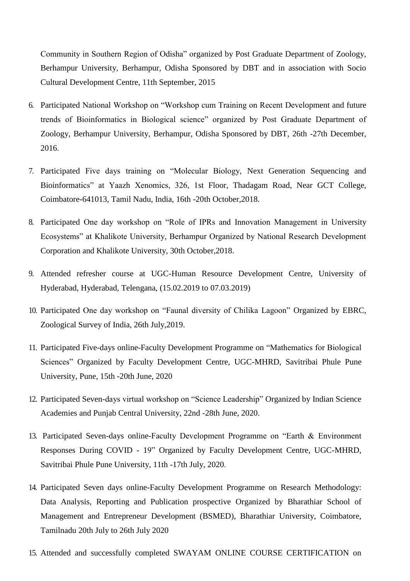Community in Southern Region of Odisha" organized by Post Graduate Department of Zoology, Berhampur University, Berhampur, Odisha Sponsored by DBT and in association with Socio Cultural Development Centre, 11th September, 2015

- 6. Participated National Workshop on "Workshop cum Training on Recent Development and future trends of Bioinformatics in Biological science" organized by Post Graduate Department of Zoology, Berhampur University, Berhampur, Odisha Sponsored by DBT, 26th -27th December, 2016.
- 7. Participated Five days training on "Molecular Biology, Next Generation Sequencing and Bioinformatics" at Yaazh Xenomics, 326, 1st Floor, Thadagam Road, Near GCT College, Coimbatore-641013, Tamil Nadu, India, 16th -20th October,2018.
- 8. Participated One day workshop on "Role of IPRs and Innovation Management in University Ecosystems" at Khalikote University, Berhampur Organized by National Research Development Corporation and Khalikote University, 30th October,2018.
- 9. Attended refresher course at UGC-Human Resource Development Centre, University of Hyderabad, Hyderabad, Telengana, (15.02.2019 to 07.03.2019)
- 10. Participated One day workshop on "Faunal diversity of Chilika Lagoon" Organized by EBRC, Zoological Survey of India, 26th July,2019.
- 11. Participated Five-days online-Faculty Development Programme on "Mathematics for Biological Sciences" Organized by Faculty Development Centre, UGC-MHRD, Savitribai Phule Pune University, Pune, 15th -20th June, 2020
- 12. Participated Seven-days virtual workshop on "Science Leadership" Organized by Indian Science Academies and Punjab Central University, 22nd -28th June, 2020.
- 13. Participated Seven-days online-Faculty Development Programme on "Earth & Environment Responses During COVID - 19" Organized by Faculty Development Centre, UGC-MHRD, Savitribai Phule Pune University, 11th -17th July, 2020.
- 14. Participated Seven days online-Faculty Development Programme on Research Methodology: Data Analysis, Reporting and Publication prospective Organized by Bharathiar School of Management and Entrepreneur Development (BSMED), Bharathiar University, Coimbatore, Tamilnadu 20th July to 26th July 2020
- 15. Attended and successfully completed SWAYAM ONLINE COURSE CERTIFICATION on